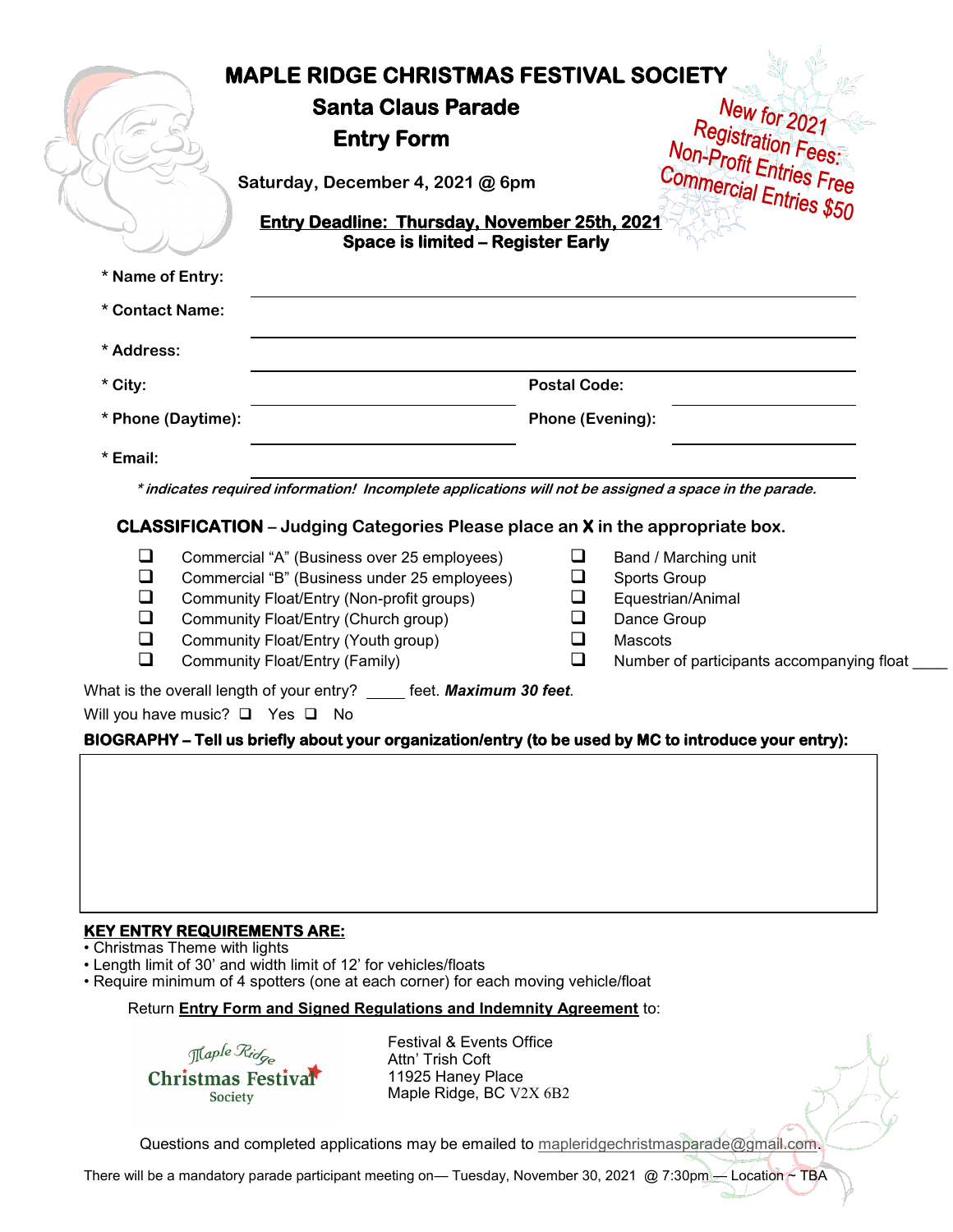|                    | <b>MAPLE RIDGE CHRISTMAS FESTIVAL SOCIETY</b><br><b>Santa Claus Parade</b><br><b>Entry Form</b><br>Saturday, December 4, 2021 @ 6pm<br><b>Entry Deadline: Thursday, November 25th, 2021</b><br><b>Space is limited - Register Early</b> |                     | New for 2021<br>Registration Fees:<br>Non-Profit Entries Free<br>Commercial Entries \$50 |
|--------------------|-----------------------------------------------------------------------------------------------------------------------------------------------------------------------------------------------------------------------------------------|---------------------|------------------------------------------------------------------------------------------|
| * Name of Entry:   |                                                                                                                                                                                                                                         |                     |                                                                                          |
| * Contact Name:    |                                                                                                                                                                                                                                         |                     |                                                                                          |
| * Address:         |                                                                                                                                                                                                                                         |                     |                                                                                          |
| * City:            |                                                                                                                                                                                                                                         | <b>Postal Code:</b> |                                                                                          |
| * Phone (Daytime): |                                                                                                                                                                                                                                         | Phone (Evening):    |                                                                                          |
| * Email:           |                                                                                                                                                                                                                                         |                     |                                                                                          |
|                    | * indicates required information! Incomplete applications will not be assigned a space in the parade.                                                                                                                                   |                     |                                                                                          |
|                    | <b>CLASSIFICATION</b> – Judging Categories Please place an <b>X</b> in the appropriate box.                                                                                                                                             |                     |                                                                                          |
| ❏<br>❏<br>❏<br>❏   | Commercial "A" (Business over 25 employees)<br>Commercial "B" (Business under 25 employees)<br>Community Float/Entry (Non-profit groups)<br>Community Float/Entry (Church group)                                                        | ப                   | Band / Marching unit<br><b>Sports Group</b><br>Equestrian/Animal<br>Dance Group          |

- ❑ Community Float/Entry (Youth group)
- ❑ Community Float/Entry (Family)
- ❑ Mascots
- ❑ Number of participants accompanying float \_\_\_\_

What is the overall length of your entry? \_\_\_\_\_ feet. **Maximum 30 feet**.

Will you have music? **□** Yes **□** No

#### **BIOGRAPHY – Tell us briefly about your organization/entry (to be used by MC to introduce your entry):**

### **KEY ENTRY REQUIREMENTS ARE:**

• Christmas Theme with lights

• Length limit of 30' and width limit of 12' for vehicles/floats

• Require minimum of 4 spotters (one at each corner) for each moving vehicle/float

## Return **Entry Form and Signed Regulations and Indemnity Agreement** to:

Maple Ridge Christmas Festival Society

Festival & Events Office Attn' Trish Coft 11925 Haney Place Maple Ridge, BC V2X 6B2

Questions and completed applications may be emailed to [mapleridgechristmasparade@gmail.com.](mailto:mapleridgechristmasparade@gmail.com?subject=Parade%20Entry%20Form)

There will be a mandatory parade participant meeting on— Tuesday, November 30, 2021 @ 7:30pm — Location ~ TBA